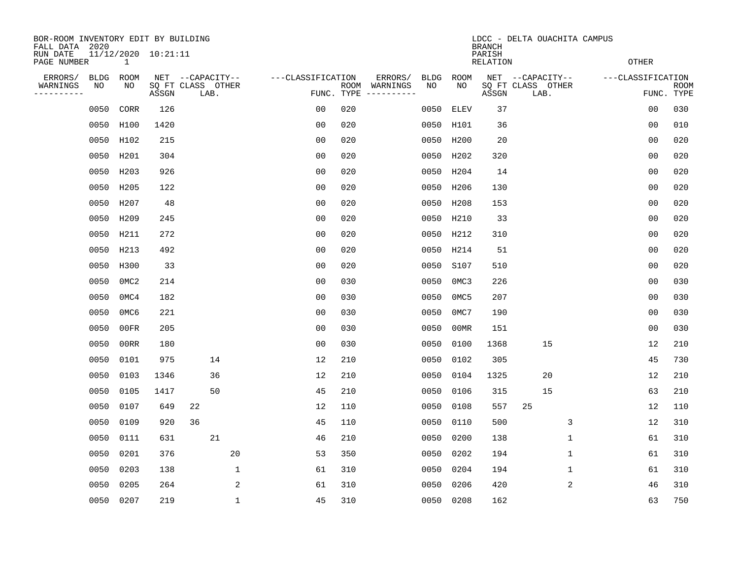| BOR-ROOM INVENTORY EDIT BY BUILDING<br>FALL DATA 2020 |                                     |       |                                               |                    |                           | LDCC - DELTA OUACHITA CAMPUS<br><b>BRANCH</b> |            |             |       |                                               |                |                   |                |                           |  |  |
|-------------------------------------------------------|-------------------------------------|-------|-----------------------------------------------|--------------------|---------------------------|-----------------------------------------------|------------|-------------|-------|-----------------------------------------------|----------------|-------------------|----------------|---------------------------|--|--|
| RUN DATE<br>PAGE NUMBER                               | 11/12/2020 10:21:11<br>$\mathbf{1}$ |       |                                               |                    | PARISH<br><b>RELATION</b> |                                               |            |             |       |                                               |                | <b>OTHER</b>      |                |                           |  |  |
| ERRORS/<br>BLDG<br>WARNINGS<br>NO<br>---------        | ROOM<br>NO                          | ASSGN | NET --CAPACITY--<br>SQ FT CLASS OTHER<br>LAB. | ---CLASSIFICATION  | FUNC. TYPE                | ERRORS/<br>ROOM WARNINGS                      | BLDG<br>NO | ROOM<br>NO  | ASSGN | NET --CAPACITY--<br>SQ FT CLASS OTHER<br>LAB. |                | ---CLASSIFICATION |                | <b>ROOM</b><br>FUNC. TYPE |  |  |
| 0050                                                  | CORR                                | 126   |                                               | 0 <sub>0</sub>     | 020                       |                                               | 0050       | <b>ELEV</b> | 37    |                                               |                |                   | 0 <sub>0</sub> | 030                       |  |  |
|                                                       | 0050 H100                           | 1420  |                                               | 0 <sub>0</sub>     | 020                       |                                               |            | 0050 H101   | 36    |                                               |                |                   | 0 <sub>0</sub> | 010                       |  |  |
|                                                       | 0050 H102                           | 215   |                                               | 0 <sub>0</sub>     | 020                       |                                               | 0050       | H200        | 20    |                                               |                |                   | 0 <sub>0</sub> | 020                       |  |  |
|                                                       | 0050 H201                           | 304   |                                               | 0 <sub>0</sub>     | 020                       |                                               |            | 0050 H202   | 320   |                                               |                |                   | 0 <sub>0</sub> | 020                       |  |  |
| 0050                                                  | H203                                | 926   |                                               | 0 <sub>0</sub>     | 020                       |                                               | 0050       | H204        | 14    |                                               |                |                   | 00             | 020                       |  |  |
|                                                       | 0050 H205                           | 122   |                                               | 0 <sub>0</sub>     | 020                       |                                               |            | 0050 H206   | 130   |                                               |                |                   | 0 <sub>0</sub> | 020                       |  |  |
| 0050                                                  | H207                                | 48    |                                               | 0 <sub>0</sub>     | 020                       |                                               |            | 0050 H208   | 153   |                                               |                |                   | 0 <sub>0</sub> | 020                       |  |  |
|                                                       | 0050 H209                           | 245   |                                               | 0 <sub>0</sub>     | 020                       |                                               |            | 0050 H210   | 33    |                                               |                |                   | 0 <sub>0</sub> | 020                       |  |  |
| 0050                                                  | H211                                | 272   |                                               | 0 <sub>0</sub>     | 020                       |                                               |            | 0050 H212   | 310   |                                               |                |                   | 0 <sub>0</sub> | 020                       |  |  |
| 0050                                                  | H213                                | 492   |                                               | 0 <sub>0</sub>     | 020                       |                                               |            | 0050 H214   | 51    |                                               |                |                   | 0 <sub>0</sub> | 020                       |  |  |
| 0050                                                  | H300                                | 33    |                                               | 0 <sub>0</sub>     | 020                       |                                               | 0050       | S107        | 510   |                                               |                |                   | 0 <sub>0</sub> | 020                       |  |  |
| 0050                                                  | 0MC2                                | 214   |                                               | 0 <sub>0</sub>     | 030                       |                                               | 0050       | 0MC3        | 226   |                                               |                |                   | 0 <sub>0</sub> | 030                       |  |  |
| 0050                                                  | 0MC4                                | 182   |                                               | 0 <sub>0</sub>     | 030                       |                                               | 0050       | 0MC5        | 207   |                                               |                |                   | 0 <sub>0</sub> | 030                       |  |  |
| 0050                                                  | 0MC6                                | 221   |                                               | 0 <sub>0</sub>     | 030                       |                                               | 0050       | 0MC7        | 190   |                                               |                |                   | 0 <sub>0</sub> | 030                       |  |  |
| 0050                                                  | 00FR                                | 205   |                                               | 0 <sub>0</sub>     | 030                       |                                               | 0050       | 00MR        | 151   |                                               |                |                   | 0 <sub>0</sub> | 030                       |  |  |
| 0050                                                  | 00RR                                | 180   |                                               | 0 <sub>0</sub>     | 030                       |                                               | 0050       | 0100        | 1368  | 15                                            |                |                   | 12             | 210                       |  |  |
| 0050                                                  | 0101                                | 975   | 14                                            | 12                 | 210                       |                                               | 0050       | 0102        | 305   |                                               |                |                   | 45             | 730                       |  |  |
| 0050                                                  | 0103                                | 1346  | 36                                            | 12                 | 210                       |                                               | 0050       | 0104        | 1325  | 20                                            |                |                   | 12             | 210                       |  |  |
| 0050                                                  | 0105                                | 1417  | 50                                            | 45                 | 210                       |                                               | 0050       | 0106        | 315   | 15                                            |                |                   | 63             | 210                       |  |  |
| 0050                                                  | 0107                                | 649   | 22                                            | 12                 | 110                       |                                               | 0050       | 0108        | 557   | 25                                            |                |                   | 12             | 110                       |  |  |
| 0050                                                  | 0109                                | 920   | 36                                            | 45                 | 110                       |                                               | 0050       | 0110        | 500   |                                               | 3              |                   | 12             | 310                       |  |  |
| 0050                                                  | 0111                                | 631   | 21                                            | 46                 | 210                       |                                               | 0050       | 0200        | 138   |                                               | $\mathbf 1$    |                   | 61             | 310                       |  |  |
| 0050                                                  | 0201                                | 376   | 20                                            | 53                 | 350                       |                                               | 0050       | 0202        | 194   |                                               | 1              |                   | 61             | 310                       |  |  |
| 0050                                                  | 0203                                | 138   |                                               | $\mathbf{1}$<br>61 | 310                       |                                               | 0050       | 0204        | 194   |                                               | $\mathbf 1$    |                   | 61             | 310                       |  |  |
| 0050                                                  | 0205                                | 264   |                                               | 2<br>61            | 310                       |                                               | 0050       | 0206        | 420   |                                               | $\overline{2}$ |                   | 46             | 310                       |  |  |
|                                                       | 0050 0207                           | 219   |                                               | $\mathbf{1}$<br>45 | 310                       |                                               |            | 0050 0208   | 162   |                                               |                |                   | 63             | 750                       |  |  |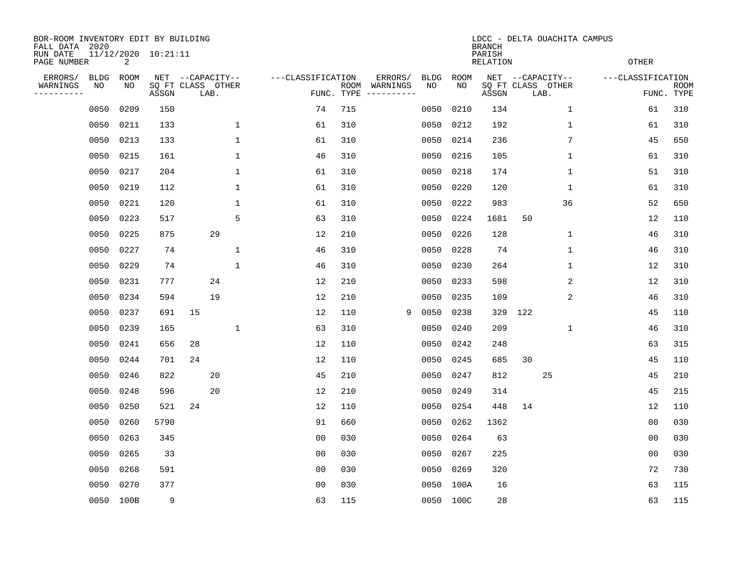| BOR-ROOM INVENTORY EDIT BY BUILDING<br>FALL DATA 2020 |                   |            |                            |                  |      |              |                   |                           |            |                                                                                                                                        |   |            | <b>BRANCH</b> |                            |                  | LDCC - DELTA OUACHITA CAMPUS |              |                   |                           |
|-------------------------------------------------------|-------------------|------------|----------------------------|------------------|------|--------------|-------------------|---------------------------|------------|----------------------------------------------------------------------------------------------------------------------------------------|---|------------|---------------|----------------------------|------------------|------------------------------|--------------|-------------------|---------------------------|
| RUN DATE<br>PAGE NUMBER                               |                   | 2          | 11/12/2020 10:21:11        |                  |      |              |                   | PARISH<br><b>RELATION</b> |            |                                                                                                                                        |   |            |               |                            |                  | <b>OTHER</b>                 |              |                   |                           |
| ERRORS/<br>WARNINGS<br>---------                      | <b>BLDG</b><br>NO | ROOM<br>NO | SQ FT CLASS OTHER<br>ASSGN | NET --CAPACITY-- | LAB. |              | ---CLASSIFICATION |                           | FUNC. TYPE | ERRORS/<br>ROOM WARNINGS<br>$\begin{tabular}{ccccccccc} - & - & - & - & - & - & - & - \\ & - & - & - & - & - & - & - \\ \end{tabular}$ |   | BLDG<br>NO | ROOM<br>NO    | SQ FT CLASS OTHER<br>ASSGN | NET --CAPACITY-- | LAB.                         |              | ---CLASSIFICATION | <b>ROOM</b><br>FUNC. TYPE |
|                                                       | 0050              | 0209       | 150                        |                  |      |              | 74                |                           | 715        |                                                                                                                                        |   | 0050       | 0210          | 134                        |                  |                              | $\mathbf{1}$ | 61                | 310                       |
|                                                       | 0050              | 0211       | 133                        |                  |      | $\mathbf{1}$ | 61                |                           | 310        |                                                                                                                                        |   | 0050       | 0212          | 192                        |                  |                              | 1            | 61                | 310                       |
|                                                       | 0050              | 0213       | 133                        |                  |      | $\mathbf 1$  | 61                |                           | 310        |                                                                                                                                        |   | 0050       | 0214          | 236                        |                  |                              | 7            | 45                | 650                       |
|                                                       | 0050              | 0215       | 161                        |                  |      | $\mathbf 1$  | 46                |                           | 310        |                                                                                                                                        |   | 0050       | 0216          | 105                        |                  |                              | $\mathbf 1$  | 61                | 310                       |
|                                                       | 0050              | 0217       | 204                        |                  |      | $\mathbf 1$  | 61                |                           | 310        |                                                                                                                                        |   | 0050       | 0218          | 174                        |                  |                              | $\mathbf 1$  | 51                | 310                       |
|                                                       | 0050              | 0219       | 112                        |                  |      | $\mathbf 1$  | 61                |                           | 310        |                                                                                                                                        |   | 0050       | 0220          | 120                        |                  |                              | $\mathbf{1}$ | 61                | 310                       |
|                                                       | 0050              | 0221       | 120                        |                  |      | $\mathbf{1}$ | 61                |                           | 310        |                                                                                                                                        |   | 0050       | 0222          | 983                        |                  |                              | 36           | 52                | 650                       |
|                                                       | 0050              | 0223       | 517                        |                  |      | 5            | 63                |                           | 310        |                                                                                                                                        |   | 0050       | 0224          | 1681                       | 50               |                              |              | 12                | 110                       |
|                                                       | 0050              | 0225       | 875                        |                  | 29   |              | 12                |                           | 210        |                                                                                                                                        |   | 0050       | 0226          | 128                        |                  |                              | 1            | 46                | 310                       |
|                                                       | 0050              | 0227       | 74                         |                  |      | $\mathbf{1}$ | 46                |                           | 310        |                                                                                                                                        |   | 0050       | 0228          | 74                         |                  |                              | 1            | 46                | 310                       |
|                                                       | 0050              | 0229       | 74                         |                  |      | $\mathbf 1$  | 46                |                           | 310        |                                                                                                                                        |   | 0050       | 0230          | 264                        |                  |                              | 1            | 12                | 310                       |
|                                                       | 0050              | 0231       | 777                        |                  | 24   |              | 12                |                           | 210        |                                                                                                                                        |   | 0050       | 0233          | 598                        |                  |                              | 2            | 12                | 310                       |
|                                                       | 0050              | 0234       | 594                        |                  | 19   |              | 12                |                           | 210        |                                                                                                                                        |   | 0050       | 0235          | 109                        |                  |                              | 2            | 46                | 310                       |
|                                                       | 0050              | 0237       | 691                        | 15               |      |              | 12                |                           | 110        |                                                                                                                                        | 9 | 0050       | 0238          | 329                        | 122              |                              |              | 45                | 110                       |
|                                                       | 0050              | 0239       | 165                        |                  |      | $\mathbf 1$  | 63                |                           | 310        |                                                                                                                                        |   | 0050       | 0240          | 209                        |                  |                              | 1            | 46                | 310                       |
|                                                       | 0050              | 0241       | 656                        | 28               |      |              | 12                |                           | 110        |                                                                                                                                        |   | 0050       | 0242          | 248                        |                  |                              |              | 63                | 315                       |
|                                                       | 0050              | 0244       | 701                        | 24               |      |              | 12                |                           | 110        |                                                                                                                                        |   | 0050       | 0245          | 685                        | 30               |                              |              | 45                | 110                       |
|                                                       | 0050              | 0246       | 822                        |                  | 20   |              | 45                |                           | 210        |                                                                                                                                        |   | 0050       | 0247          | 812                        |                  | 25                           |              | 45                | 210                       |
|                                                       | 0050              | 0248       | 596                        |                  | 20   |              | 12                |                           | 210        |                                                                                                                                        |   | 0050       | 0249          | 314                        |                  |                              |              | 45                | 215                       |
|                                                       | 0050              | 0250       | 521                        | 24               |      |              | 12                |                           | 110        |                                                                                                                                        |   | 0050       | 0254          | 448                        | 14               |                              |              | 12                | 110                       |
|                                                       | 0050              | 0260       | 5790                       |                  |      |              | 91                |                           | 660        |                                                                                                                                        |   | 0050       | 0262          | 1362                       |                  |                              |              | 00                | 030                       |
|                                                       | 0050              | 0263       | 345                        |                  |      |              | 0 <sub>0</sub>    |                           | 030        |                                                                                                                                        |   | 0050       | 0264          | 63                         |                  |                              |              | 0 <sub>0</sub>    | 030                       |
|                                                       | 0050              | 0265       | 33                         |                  |      |              | 0 <sub>0</sub>    |                           | 030        |                                                                                                                                        |   | 0050       | 0267          | 225                        |                  |                              |              | 0 <sub>0</sub>    | 030                       |
|                                                       | 0050              | 0268       | 591                        |                  |      |              | 0 <sub>0</sub>    |                           | 030        |                                                                                                                                        |   | 0050       | 0269          | 320                        |                  |                              |              | 72                | 730                       |
|                                                       | 0050              | 0270       | 377                        |                  |      |              | 0 <sub>0</sub>    |                           | 030        |                                                                                                                                        |   | 0050       | 100A          | 16                         |                  |                              |              | 63                | 115                       |
|                                                       | 0050 100B         |            | 9                          |                  |      |              | 63                |                           | 115        |                                                                                                                                        |   | 0050 100C  |               | 28                         |                  |                              |              | 63                | 115                       |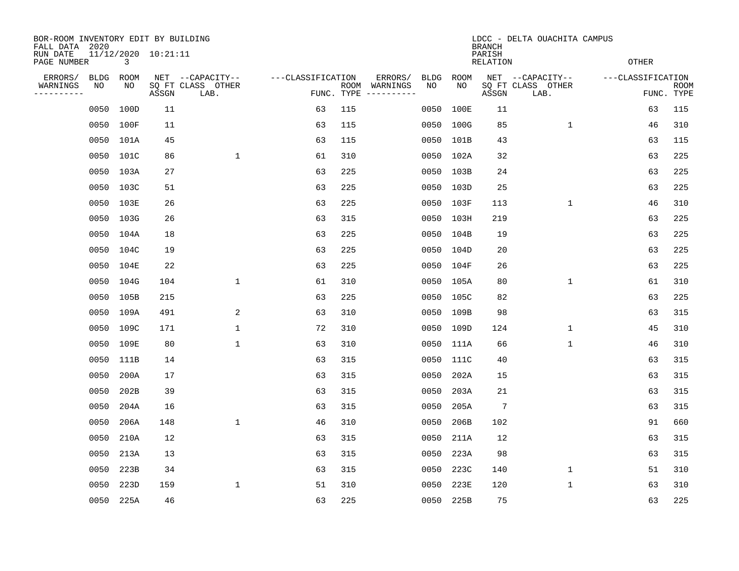| BOR-ROOM INVENTORY EDIT BY BUILDING<br>FALL DATA 2020 |            |            |                     |                                               |                   |            | LDCC - DELTA OUACHITA CAMPUS<br><b>BRANCH</b> |            |                           |                                               |                   |                           |  |  |  |
|-------------------------------------------------------|------------|------------|---------------------|-----------------------------------------------|-------------------|------------|-----------------------------------------------|------------|---------------------------|-----------------------------------------------|-------------------|---------------------------|--|--|--|
| RUN DATE<br>PAGE NUMBER                               |            | 3          | 11/12/2020 10:21:11 |                                               |                   |            |                                               |            | PARISH<br><b>RELATION</b> |                                               | <b>OTHER</b>      |                           |  |  |  |
| ERRORS/<br>WARNINGS<br>----------                     | BLDG<br>NO | ROOM<br>NO | ASSGN               | NET --CAPACITY--<br>SQ FT CLASS OTHER<br>LAB. | ---CLASSIFICATION | FUNC. TYPE | ERRORS/<br>BLDG<br>ROOM WARNINGS<br>NO        | ROOM<br>NO | ASSGN                     | NET --CAPACITY--<br>SQ FT CLASS OTHER<br>LAB. | ---CLASSIFICATION | <b>ROOM</b><br>FUNC. TYPE |  |  |  |
|                                                       | 0050       | 100D       | 11                  |                                               | 63                | 115        | 0050                                          | 100E       | 11                        |                                               | 63                | 115                       |  |  |  |
|                                                       | 0050 100F  |            | 11                  |                                               | 63                | 115        | 0050                                          | 100G       | 85                        | $\mathbf{1}$                                  | 46                | 310                       |  |  |  |
|                                                       | 0050 101A  |            | 45                  |                                               | 63                | 115        | 0050                                          | 101B       | 43                        |                                               | 63                | 115                       |  |  |  |
|                                                       | 0050 101C  |            | 86                  | $\mathbf 1$                                   | 61                | 310        |                                               | 0050 102A  | 32                        |                                               | 63                | 225                       |  |  |  |
|                                                       | 0050 103A  |            | 27                  |                                               | 63                | 225        | 0050                                          | 103B       | 24                        |                                               | 63                | 225                       |  |  |  |
|                                                       | 0050 103C  |            | 51                  |                                               | 63                | 225        |                                               | 0050 103D  | 25                        |                                               | 63                | 225                       |  |  |  |
|                                                       | 0050 103E  |            | 26                  |                                               | 63                | 225        |                                               | 0050 103F  | 113                       | $\mathbf 1$                                   | 46                | 310                       |  |  |  |
|                                                       | 0050 103G  |            | 26                  |                                               | 63                | 315        |                                               | 0050 103H  | 219                       |                                               | 63                | 225                       |  |  |  |
|                                                       | 0050 104A  |            | 18                  |                                               | 63                | 225        |                                               | 0050 104B  | 19                        |                                               | 63                | 225                       |  |  |  |
|                                                       | 0050 104C  |            | 19                  |                                               | 63                | 225        |                                               | 0050 104D  | 20                        |                                               | 63                | 225                       |  |  |  |
|                                                       | 0050 104E  |            | 22                  |                                               | 63                | 225        |                                               | 0050 104F  | 26                        |                                               | 63                | 225                       |  |  |  |
|                                                       | 0050 104G  |            | 104                 | $\mathbf 1$                                   | 61                | 310        |                                               | 0050 105A  | 80                        | $\mathbf 1$                                   | 61                | 310                       |  |  |  |
|                                                       | 0050       | 105B       | 215                 |                                               | 63                | 225        | 0050                                          | 105C       | 82                        |                                               | 63                | 225                       |  |  |  |
|                                                       | 0050       | 109A       | 491                 | 2                                             | 63                | 310        | 0050                                          | 109B       | 98                        |                                               | 63                | 315                       |  |  |  |
|                                                       | 0050       | 109C       | 171                 | $\mathbf 1$                                   | 72                | 310        |                                               | 0050 109D  | 124                       | 1                                             | 45                | 310                       |  |  |  |
|                                                       | 0050       | 109E       | 80                  | $\mathbf{1}$                                  | 63                | 310        | 0050                                          | 111A       | 66                        | $\mathbf{1}$                                  | 46                | 310                       |  |  |  |
|                                                       | 0050       | 111B       | 14                  |                                               | 63                | 315        | 0050                                          | 111C       | 40                        |                                               | 63                | 315                       |  |  |  |
|                                                       | 0050       | 200A       | 17                  |                                               | 63                | 315        | 0050                                          | 202A       | 15                        |                                               | 63                | 315                       |  |  |  |
|                                                       | 0050       | 202B       | 39                  |                                               | 63                | 315        | 0050                                          | 203A       | 21                        |                                               | 63                | 315                       |  |  |  |
|                                                       | 0050       | 204A       | 16                  |                                               | 63                | 315        | 0050                                          | 205A       | 7                         |                                               | 63                | 315                       |  |  |  |
|                                                       | 0050       | 206A       | 148                 | $\mathbf 1$                                   | 46                | 310        | 0050                                          | 206B       | 102                       |                                               | 91                | 660                       |  |  |  |
|                                                       | 0050       | 210A       | 12                  |                                               | 63                | 315        | 0050                                          | 211A       | 12                        |                                               | 63                | 315                       |  |  |  |
|                                                       | 0050       | 213A       | 13                  |                                               | 63                | 315        | 0050                                          | 223A       | 98                        |                                               | 63                | 315                       |  |  |  |
|                                                       | 0050       | 223B       | 34                  |                                               | 63                | 315        | 0050                                          | 223C       | 140                       | $\mathbf 1$                                   | 51                | 310                       |  |  |  |
|                                                       | 0050       | 223D       | 159                 | $\mathbf{1}$                                  | 51                | 310        | 0050                                          | 223E       | 120                       | $\mathbf 1$                                   | 63                | 310                       |  |  |  |
|                                                       | 0050 225A  |            | 46                  |                                               | 63                | 225        | 0050                                          | 225B       | 75                        |                                               | 63                | 225                       |  |  |  |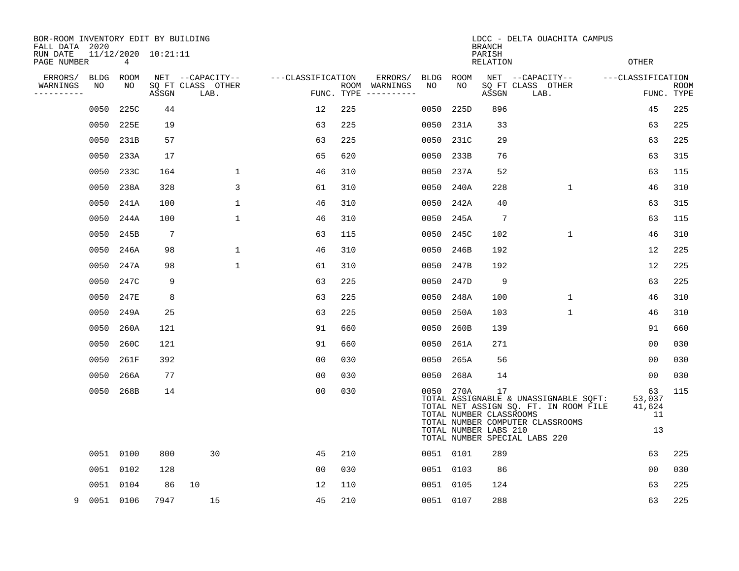| BOR-ROOM INVENTORY EDIT BY BUILDING<br>FALL DATA 2020 |             |           |                     |                           |                   | LDCC - DELTA OUACHITA CAMPUS<br><b>BRANCH</b> |                                        |           |           |                                                        |                                                                                                                                                     |                                    |                    |  |  |  |
|-------------------------------------------------------|-------------|-----------|---------------------|---------------------------|-------------------|-----------------------------------------------|----------------------------------------|-----------|-----------|--------------------------------------------------------|-----------------------------------------------------------------------------------------------------------------------------------------------------|------------------------------------|--------------------|--|--|--|
| RUN DATE<br>PAGE NUMBER                               |             | 4         | 11/12/2020 10:21:11 |                           |                   |                                               |                                        |           |           | PARISH<br>RELATION                                     |                                                                                                                                                     | <b>OTHER</b>                       |                    |  |  |  |
| ERRORS/                                               | <b>BLDG</b> | ROOM      |                     | NET --CAPACITY--          | ---CLASSIFICATION |                                               | ERRORS/                                |           | BLDG ROOM |                                                        | NET --CAPACITY--                                                                                                                                    | ---CLASSIFICATION                  |                    |  |  |  |
| WARNINGS<br>----------                                | NO          | NO        | ASSGN               | SO FT CLASS OTHER<br>LAB. |                   |                                               | ROOM WARNINGS<br>FUNC. TYPE ---------- | NO        | NO.       | ASSGN                                                  | SQ FT CLASS OTHER<br>LAB.                                                                                                                           |                                    | ROOM<br>FUNC. TYPE |  |  |  |
|                                                       | 0050        | 225C      | 44                  |                           | 12                | 225                                           |                                        | 0050      | 225D      | 896                                                    |                                                                                                                                                     | 45                                 | 225                |  |  |  |
|                                                       | 0050        | 225E      | 19                  |                           | 63                | 225                                           |                                        |           | 0050 231A | 33                                                     |                                                                                                                                                     | 63                                 | 225                |  |  |  |
|                                                       | 0050        | 231B      | 57                  |                           | 63                | 225                                           |                                        |           | 0050 231C | 29                                                     |                                                                                                                                                     | 63                                 | 225                |  |  |  |
|                                                       | 0050        | 233A      | 17                  |                           | 65                | 620                                           |                                        |           | 0050 233B | 76                                                     |                                                                                                                                                     | 63                                 | 315                |  |  |  |
|                                                       | 0050        | 233C      | 164                 | $\mathbf 1$               | 46                | 310                                           |                                        |           | 0050 237A | 52                                                     |                                                                                                                                                     | 63                                 | 115                |  |  |  |
|                                                       | 0050        | 238A      | 328                 | 3                         | 61                | 310                                           |                                        |           | 0050 240A | 228                                                    | $\mathbf{1}$                                                                                                                                        | 46                                 | 310                |  |  |  |
|                                                       |             | 0050 241A | 100                 | $\mathbf 1$               | 46                | 310                                           |                                        |           | 0050 242A | 40                                                     |                                                                                                                                                     | 63                                 | 315                |  |  |  |
|                                                       | 0050        | 244A      | 100                 | $\mathbf{1}$              | 46                | 310                                           |                                        |           | 0050 245A | $7\phantom{.0}$                                        |                                                                                                                                                     | 63                                 | 115                |  |  |  |
|                                                       | 0050        | 245B      | -7                  |                           | 63                | 115                                           |                                        |           | 0050 245C | 102                                                    | $\mathbf 1$                                                                                                                                         | 46                                 | 310                |  |  |  |
|                                                       | 0050        | 246A      | 98                  | $\mathbf{1}$              | 46                | 310                                           |                                        |           | 0050 246B | 192                                                    |                                                                                                                                                     | 12                                 | 225                |  |  |  |
|                                                       | 0050        | 247A      | 98                  | $\mathbf 1$               | 61                | 310                                           |                                        | 0050 247B |           | 192                                                    |                                                                                                                                                     | 12                                 | 225                |  |  |  |
|                                                       | 0050        | 247C      | 9                   |                           | 63                | 225                                           |                                        |           | 0050 247D | 9                                                      |                                                                                                                                                     | 63                                 | 225                |  |  |  |
|                                                       | 0050        | 247E      | 8                   |                           | 63                | 225                                           |                                        |           | 0050 248A | 100                                                    | $\mathbf{1}$                                                                                                                                        | 46                                 | 310                |  |  |  |
|                                                       | 0050        | 249A      | 25                  |                           | 63                | 225                                           |                                        |           | 0050 250A | 103                                                    | $\mathbf{1}$                                                                                                                                        | 46                                 | 310                |  |  |  |
|                                                       | 0050        | 260A      | 121                 |                           | 91                | 660                                           |                                        | 0050 260B |           | 139                                                    |                                                                                                                                                     | 91                                 | 660                |  |  |  |
|                                                       | 0050        | 260C      | 121                 |                           | 91                | 660                                           |                                        | 0050 261A |           | 271                                                    |                                                                                                                                                     | 00                                 | 030                |  |  |  |
|                                                       | 0050        | 261F      | 392                 |                           | 0 <sub>0</sub>    | 030                                           |                                        |           | 0050 265A | 56                                                     |                                                                                                                                                     | 00                                 | 030                |  |  |  |
|                                                       | 0050        | 266A      | 77                  |                           | 0 <sub>0</sub>    | 030                                           |                                        | 0050      | 268A      | 14                                                     |                                                                                                                                                     | 00                                 | 030                |  |  |  |
|                                                       | 0050        | 268B      | 14                  |                           | 0 <sub>0</sub>    | 030                                           |                                        |           | 0050 270A | 17<br>TOTAL NUMBER CLASSROOMS<br>TOTAL NUMBER LABS 210 | TOTAL ASSIGNABLE & UNASSIGNABLE SQFT:<br>TOTAL NET ASSIGN SQ. FT. IN ROOM FILE<br>TOTAL NUMBER COMPUTER CLASSROOMS<br>TOTAL NUMBER SPECIAL LABS 220 | 63<br>53,037<br>41,624<br>11<br>13 | 115                |  |  |  |
|                                                       |             | 0051 0100 | 800                 | 30                        | 45                | 210                                           |                                        | 0051 0101 |           | 289                                                    |                                                                                                                                                     | 63                                 | 225                |  |  |  |
|                                                       |             | 0051 0102 | 128                 |                           | 00                | 030                                           |                                        | 0051 0103 |           | 86                                                     |                                                                                                                                                     | 0 <sub>0</sub>                     | 030                |  |  |  |
|                                                       |             | 0051 0104 | 86                  | 10                        | 12                | 110                                           |                                        | 0051 0105 |           | 124                                                    |                                                                                                                                                     | 63                                 | 225                |  |  |  |
| 9                                                     | 0051 0106   |           | 7947                | 15                        | 45                | 210                                           |                                        | 0051 0107 |           | 288                                                    |                                                                                                                                                     | 63                                 | 225                |  |  |  |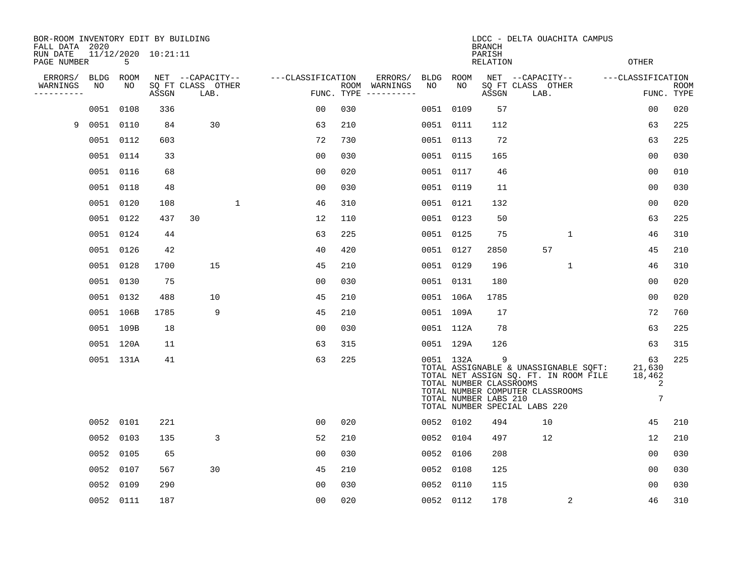| BOR-ROOM INVENTORY EDIT BY BUILDING<br>FALL DATA 2020 |                 |           |                     |                                               |                   |     | LDCC - DELTA OUACHITA CAMPUS<br><b>BRANCH</b>   |                 |           |                                                       |                                                                                                                                                     |                                  |                           |  |  |
|-------------------------------------------------------|-----------------|-----------|---------------------|-----------------------------------------------|-------------------|-----|-------------------------------------------------|-----------------|-----------|-------------------------------------------------------|-----------------------------------------------------------------------------------------------------------------------------------------------------|----------------------------------|---------------------------|--|--|
| RUN DATE<br>PAGE NUMBER                               |                 | 5         | 11/12/2020 10:21:11 |                                               |                   |     |                                                 |                 |           | PARISH<br><b>RELATION</b>                             |                                                                                                                                                     | <b>OTHER</b>                     |                           |  |  |
| ERRORS/<br>WARNINGS<br>----------                     | BLDG ROOM<br>NO | NO        | ASSGN               | NET --CAPACITY--<br>SQ FT CLASS OTHER<br>LAB. | ---CLASSIFICATION |     | ERRORS/<br>ROOM WARNINGS<br>FUNC. TYPE $------$ | BLDG ROOM<br>NO | NO        | ASSGN                                                 | NET --CAPACITY--<br>SQ FT CLASS OTHER<br>LAB.                                                                                                       | ---CLASSIFICATION                | <b>ROOM</b><br>FUNC. TYPE |  |  |
|                                                       |                 | 0051 0108 | 336                 |                                               | 0 <sub>0</sub>    | 030 |                                                 | 0051            | 0109      | 57                                                    |                                                                                                                                                     | 0 <sub>0</sub>                   | 020                       |  |  |
| 9                                                     | 0051 0110       |           | 84                  | 30                                            | 63                | 210 |                                                 |                 | 0051 0111 | 112                                                   |                                                                                                                                                     | 63                               | 225                       |  |  |
|                                                       |                 | 0051 0112 | 603                 |                                               | 72                | 730 |                                                 |                 | 0051 0113 | 72                                                    |                                                                                                                                                     | 63                               | 225                       |  |  |
|                                                       |                 | 0051 0114 | 33                  |                                               | 0 <sub>0</sub>    | 030 |                                                 |                 | 0051 0115 | 165                                                   |                                                                                                                                                     | 0 <sub>0</sub>                   | 030                       |  |  |
|                                                       |                 | 0051 0116 | 68                  |                                               | 0 <sub>0</sub>    | 020 |                                                 |                 | 0051 0117 | 46                                                    |                                                                                                                                                     | 00                               | 010                       |  |  |
|                                                       |                 | 0051 0118 | 48                  |                                               | 0 <sub>0</sub>    | 030 |                                                 |                 | 0051 0119 | 11                                                    |                                                                                                                                                     | 0 <sub>0</sub>                   | 030                       |  |  |
|                                                       |                 | 0051 0120 | 108                 | $\mathbf{1}$                                  | 46                | 310 |                                                 |                 | 0051 0121 | 132                                                   |                                                                                                                                                     | 0 <sub>0</sub>                   | 020                       |  |  |
|                                                       |                 | 0051 0122 | 437                 | 30                                            | 12                | 110 |                                                 |                 | 0051 0123 | 50                                                    |                                                                                                                                                     | 63                               | 225                       |  |  |
|                                                       |                 | 0051 0124 | 44                  |                                               | 63                | 225 |                                                 |                 | 0051 0125 | 75                                                    | $\mathbf 1$                                                                                                                                         | 46                               | 310                       |  |  |
|                                                       |                 | 0051 0126 | 42                  |                                               | 40                | 420 |                                                 |                 | 0051 0127 | 2850                                                  | 57                                                                                                                                                  | 45                               | 210                       |  |  |
|                                                       |                 | 0051 0128 | 1700                | 15                                            | 45                | 210 |                                                 |                 | 0051 0129 | 196                                                   | $\mathbf{1}$                                                                                                                                        | 46                               | 310                       |  |  |
|                                                       |                 | 0051 0130 | 75                  |                                               | 0 <sub>0</sub>    | 030 |                                                 |                 | 0051 0131 | 180                                                   |                                                                                                                                                     | 00                               | 020                       |  |  |
|                                                       |                 | 0051 0132 | 488                 | 10                                            | 45                | 210 |                                                 |                 | 0051 106A | 1785                                                  |                                                                                                                                                     | 0 <sub>0</sub>                   | 020                       |  |  |
|                                                       |                 | 0051 106B | 1785                | 9                                             | 45                | 210 |                                                 |                 | 0051 109A | 17                                                    |                                                                                                                                                     | 72                               | 760                       |  |  |
|                                                       |                 | 0051 109B | 18                  |                                               | 0 <sub>0</sub>    | 030 |                                                 |                 | 0051 112A | 78                                                    |                                                                                                                                                     | 63                               | 225                       |  |  |
|                                                       |                 | 0051 120A | 11                  |                                               | 63                | 315 |                                                 |                 | 0051 129A | 126                                                   |                                                                                                                                                     | 63                               | 315                       |  |  |
|                                                       |                 | 0051 131A | 41                  |                                               | 63                | 225 |                                                 |                 | 0051 132A | 9<br>TOTAL NUMBER CLASSROOMS<br>TOTAL NUMBER LABS 210 | TOTAL ASSIGNABLE & UNASSIGNABLE SQFT:<br>TOTAL NET ASSIGN SQ. FT. IN ROOM FILE<br>TOTAL NUMBER COMPUTER CLASSROOMS<br>TOTAL NUMBER SPECIAL LABS 220 | 63<br>21,630<br>18,462<br>2<br>7 | 225                       |  |  |
|                                                       |                 | 0052 0101 | 221                 |                                               | 00                | 020 |                                                 |                 | 0052 0102 | 494                                                   | 10                                                                                                                                                  | 45                               | 210                       |  |  |
|                                                       | 0052            | 0103      | 135                 | 3                                             | 52                | 210 |                                                 |                 | 0052 0104 | 497                                                   | 12                                                                                                                                                  | 12                               | 210                       |  |  |
|                                                       |                 | 0052 0105 | 65                  |                                               | 00                | 030 |                                                 |                 | 0052 0106 | 208                                                   |                                                                                                                                                     | 00                               | 030                       |  |  |
|                                                       | 0052            | 0107      | 567                 | 30                                            | 45                | 210 |                                                 | 0052            | 0108      | 125                                                   |                                                                                                                                                     | 00                               | 030                       |  |  |
|                                                       | 0052            | 0109      | 290                 |                                               | 0 <sub>0</sub>    | 030 |                                                 |                 | 0052 0110 | 115                                                   |                                                                                                                                                     | 0 <sub>0</sub>                   | 030                       |  |  |
|                                                       |                 | 0052 0111 | 187                 |                                               | 0 <sub>0</sub>    | 020 |                                                 |                 | 0052 0112 | 178                                                   | 2                                                                                                                                                   | 46                               | 310                       |  |  |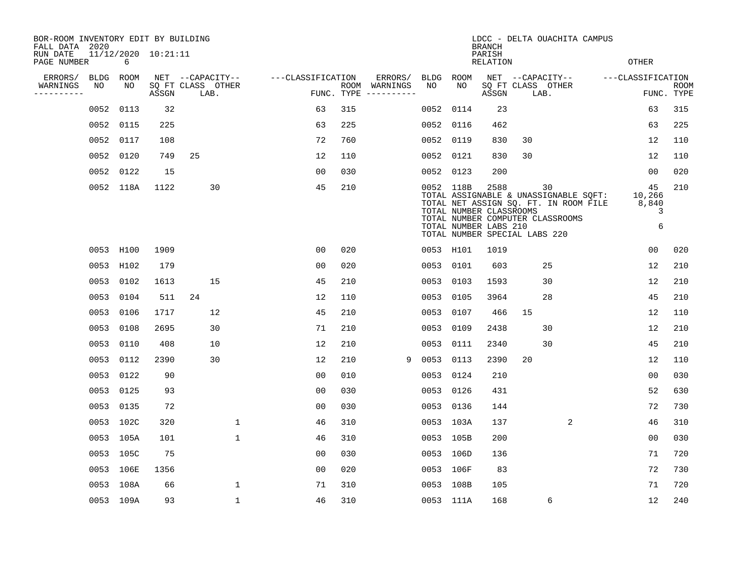| BOR-ROOM INVENTORY EDIT BY BUILDING<br>FALL DATA 2020 |             |                          |       |                           |              |                   |            | LDCC - DELTA OUACHITA CAMPUS<br><b>BRANCH</b> |             |           |                                                          |                               |                                                                                                                          |  |                                 |                           |
|-------------------------------------------------------|-------------|--------------------------|-------|---------------------------|--------------|-------------------|------------|-----------------------------------------------|-------------|-----------|----------------------------------------------------------|-------------------------------|--------------------------------------------------------------------------------------------------------------------------|--|---------------------------------|---------------------------|
| RUN DATE<br>PAGE NUMBER                               |             | 11/12/2020 10:21:11<br>6 |       |                           |              |                   |            |                                               |             |           | PARISH<br><b>RELATION</b>                                |                               |                                                                                                                          |  | <b>OTHER</b>                    |                           |
| ERRORS/                                               | <b>BLDG</b> | <b>ROOM</b>              |       | NET --CAPACITY--          |              | ---CLASSIFICATION |            | ERRORS/                                       | <b>BLDG</b> | ROOM      |                                                          |                               | NET --CAPACITY--                                                                                                         |  | ---CLASSIFICATION               |                           |
| WARNINGS<br>----------                                | NO          | NO                       | ASSGN | SQ FT CLASS OTHER<br>LAB. |              |                   | FUNC. TYPE | ROOM WARNINGS<br>-----------                  | NO          | NO        | ASSGN                                                    | SQ FT CLASS OTHER<br>LAB.     |                                                                                                                          |  |                                 | <b>ROOM</b><br>FUNC. TYPE |
|                                                       | 0052        | 0113                     | 32    |                           |              | 63                | 315        |                                               | 0052        | 0114      | 23                                                       |                               |                                                                                                                          |  | 63                              | 315                       |
|                                                       | 0052        | 0115                     | 225   |                           |              | 63                | 225        |                                               | 0052        | 0116      | 462                                                      |                               |                                                                                                                          |  | 63                              | 225                       |
|                                                       | 0052        | 0117                     | 108   |                           |              | 72                | 760        |                                               | 0052        | 0119      | 830                                                      | 30                            |                                                                                                                          |  | 12                              | 110                       |
|                                                       | 0052        | 0120                     | 749   | 25                        |              | 12                | 110        |                                               |             | 0052 0121 | 830                                                      | 30                            |                                                                                                                          |  | 12                              | 110                       |
|                                                       | 0052        | 0122                     | 15    |                           |              | 0 <sub>0</sub>    | 030        |                                               | 0052        | 0123      | 200                                                      |                               |                                                                                                                          |  | 00                              | 020                       |
|                                                       |             | 0052 118A                | 1122  | 30                        |              | 45                | 210        |                                               |             | 0052 118B | 2588<br>TOTAL NUMBER CLASSROOMS<br>TOTAL NUMBER LABS 210 | TOTAL NUMBER SPECIAL LABS 220 | 30<br>TOTAL ASSIGNABLE & UNASSIGNABLE SQFT:<br>TOTAL NET ASSIGN SQ. FT. IN ROOM FILE<br>TOTAL NUMBER COMPUTER CLASSROOMS |  | 45<br>10,266<br>8,840<br>3<br>6 | 210                       |
|                                                       | 0053 H100   |                          | 1909  |                           |              | 00                | 020        |                                               |             | 0053 H101 | 1019                                                     |                               |                                                                                                                          |  | 0 <sub>0</sub>                  | 020                       |
|                                                       | 0053 H102   |                          | 179   |                           |              | 0 <sub>0</sub>    | 020        |                                               | 0053        | 0101      | 603                                                      |                               | 25                                                                                                                       |  | 12                              | 210                       |
|                                                       | 0053        | 0102                     | 1613  | 15                        |              | 45                | 210        |                                               | 0053        | 0103      | 1593                                                     |                               | 30                                                                                                                       |  | 12                              | 210                       |
|                                                       | 0053        | 0104                     | 511   | 24                        |              | 12                | 110        |                                               | 0053        | 0105      | 3964                                                     |                               | 28                                                                                                                       |  | 45                              | 210                       |
|                                                       | 0053        | 0106                     | 1717  | 12                        |              | 45                | 210        |                                               | 0053        | 0107      | 466                                                      | 15                            |                                                                                                                          |  | 12                              | 110                       |
|                                                       | 0053        | 0108                     | 2695  | 30                        |              | 71                | 210        |                                               | 0053        | 0109      | 2438                                                     |                               | 30                                                                                                                       |  | 12                              | 210                       |
|                                                       | 0053        | 0110                     | 408   | 10                        |              | 12                | 210        |                                               | 0053        | 0111      | 2340                                                     |                               | 30                                                                                                                       |  | 45                              | 210                       |
|                                                       | 0053        | 0112                     | 2390  | 30                        |              | 12                | 210        |                                               | 0053<br>9   | 0113      | 2390                                                     | 20                            |                                                                                                                          |  | 12                              | 110                       |
|                                                       | 0053        | 0122                     | 90    |                           |              | 0 <sub>0</sub>    | 010        |                                               | 0053        | 0124      | 210                                                      |                               |                                                                                                                          |  | 0 <sub>0</sub>                  | 030                       |
|                                                       | 0053        | 0125                     | 93    |                           |              | 0 <sub>0</sub>    | 030        |                                               | 0053        | 0126      | 431                                                      |                               |                                                                                                                          |  | 52                              | 630                       |
|                                                       | 0053        | 0135                     | 72    |                           |              | 0 <sub>0</sub>    | 030        |                                               |             | 0053 0136 | 144                                                      |                               |                                                                                                                          |  | 72                              | 730                       |
|                                                       | 0053 102C   |                          | 320   |                           | 1            | 46                | 310        |                                               |             | 0053 103A | 137                                                      |                               | $\overline{2}$                                                                                                           |  | 46                              | 310                       |
|                                                       | 0053 105A   |                          | 101   |                           | 1            | 46                | 310        |                                               |             | 0053 105B | 200                                                      |                               |                                                                                                                          |  | 0 <sub>0</sub>                  | 030                       |
|                                                       | 0053 105C   |                          | 75    |                           |              | 0 <sub>0</sub>    | 030        |                                               |             | 0053 106D | 136                                                      |                               |                                                                                                                          |  | 71                              | 720                       |
|                                                       | 0053 106E   |                          | 1356  |                           |              | 0 <sub>0</sub>    | 020        |                                               |             | 0053 106F | 83                                                       |                               |                                                                                                                          |  | 72                              | 730                       |
|                                                       | 0053 108A   |                          | 66    |                           | 1            | 71                | 310        |                                               |             | 0053 108B | 105                                                      |                               |                                                                                                                          |  | 71                              | 720                       |
|                                                       |             | 0053 109A                | 93    |                           | $\mathbf{1}$ | 46                | 310        |                                               |             | 0053 111A | 168                                                      |                               | 6                                                                                                                        |  | 12                              | 240                       |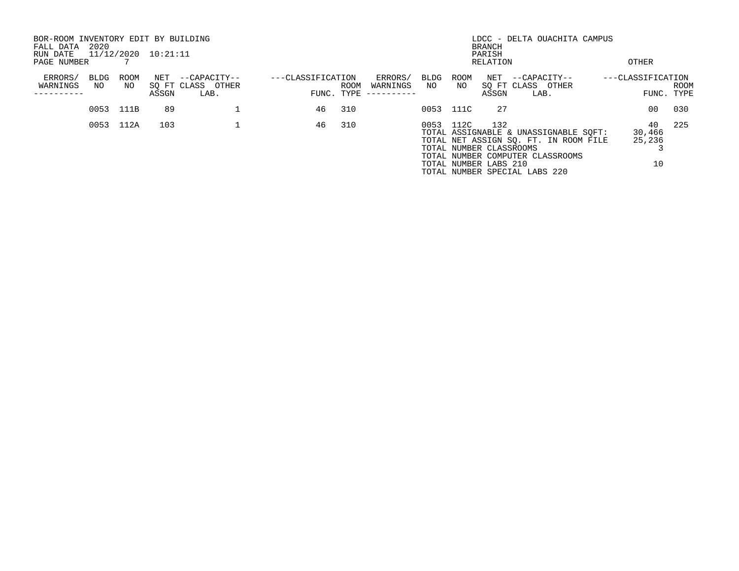| BOR-ROOM INVENTORY EDIT BY BUILDING<br>FALL DATA<br>RUN DATE | 2020        |            | 11/12/2020 10:21:11 |                                           |                   | LDCC - DELTA OUACHITA CAMPUS<br><b>BRANCH</b><br>PARISH |                                   |                    |            |                                                         |                                                                                                                                                     |  |                              |                     |
|--------------------------------------------------------------|-------------|------------|---------------------|-------------------------------------------|-------------------|---------------------------------------------------------|-----------------------------------|--------------------|------------|---------------------------------------------------------|-----------------------------------------------------------------------------------------------------------------------------------------------------|--|------------------------------|---------------------|
| PAGE NUMBER                                                  |             |            |                     |                                           |                   |                                                         |                                   |                    |            | RELATION                                                |                                                                                                                                                     |  | OTHER                        |                     |
| ERRORS/<br>WARNINGS                                          | BLDG<br>NO. | ROOM<br>NO | NET<br>ASSGN        | --CAPACITY--<br>SQ FT CLASS OTHER<br>LAB. | ---CLASSIFICATION | ROOM<br>FUNC. TYPE                                      | ERRORS/<br>WARNINGS<br>---------- | <b>BLDG</b><br>NO. | ROOM<br>NO | NET<br>ASSGN                                            | --CAPACITY--<br>SQ FT CLASS OTHER<br>LAB.                                                                                                           |  | ---CLASSIFICATION<br>FUNC.   | <b>ROOM</b><br>TYPE |
|                                                              | 0053        | 111B       | 89                  |                                           | 46                | 310                                                     |                                   | 0053 111C          |            | 27                                                      |                                                                                                                                                     |  | 00                           | 030                 |
|                                                              | 0053        | 112A       | 103                 |                                           | 46                | 310                                                     |                                   | 0053 112C          |            | 132<br>TOTAL NUMBER CLASSROOMS<br>TOTAL NUMBER LABS 210 | TOTAL ASSIGNABLE & UNASSIGNABLE SOFT:<br>TOTAL NET ASSIGN SO. FT. IN ROOM FILE<br>TOTAL NUMBER COMPUTER CLASSROOMS<br>TOTAL NUMBER SPECIAL LABS 220 |  | 40<br>30,466<br>25,236<br>10 | 225                 |